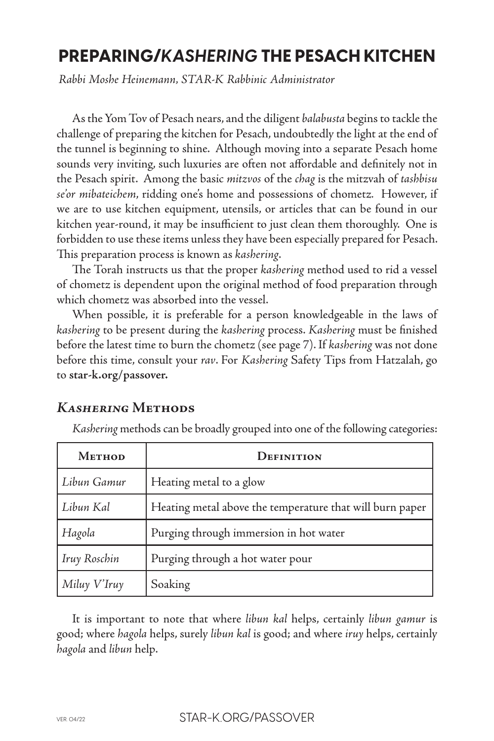# **PREPARING/***KASHERING* **THE PESACH KITCHEN**

*Rabbi Moshe Heinemann, STAR-K Rabbinic Administrator*

As the Yom Tov of Pesach nears, and the diligent *balabusta* begins to tackle the challenge of preparing the kitchen for Pesach, undoubtedly the light at the end of the tunnel is beginning to shine. Although moving into a separate Pesach home sounds very inviting, such luxuries are often not affordable and definitely not in the Pesach spirit. Among the basic *mitzvos* of the *chag* is the mitzvah of *tashbisu se'or mibateichem*, ridding one's home and possessions of chometz*.* However, if we are to use kitchen equipment, utensils, or articles that can be found in our kitchen year-round, it may be insufficient to just clean them thoroughly. One is forbidden to use these items unless they have been especially prepared for Pesach. This preparation process is known as *kashering*.

The Torah instructs us that the proper *kashering* method used to rid a vessel of chometz is dependent upon the original method of food preparation through which chometz was absorbed into the vessel.

When possible, it is preferable for a person knowledgeable in the laws of *kashering* to be present during the *kashering* process. *Kashering* must be finished before the latest time to burn the chometz (see page 7). If *kashering* was not done before this time, consult your *rav*. For *Kashering* Safety Tips from Hatzalah, go to **star-k.org/passover.**

## *Kashering* **Methods**

*Kashering* methods can be broadly grouped into one of the following categories:

| Метнор              | DEFINITION                                               |
|---------------------|----------------------------------------------------------|
| Libun Gamur         | Heating metal to a glow                                  |
| Libun Kal           | Heating metal above the temperature that will burn paper |
| Hagola              | Purging through immersion in hot water                   |
| <b>Iruy Roschin</b> | Purging through a hot water pour                         |
| Miluy V'Iruy        | Soaking                                                  |

It is important to note that where *libun kal* helps, certainly *libun gamur* is good; where *hagola* helps, surely *libun kal* is good; and where *iruy* helps, certainly *hagola* and *libun* help.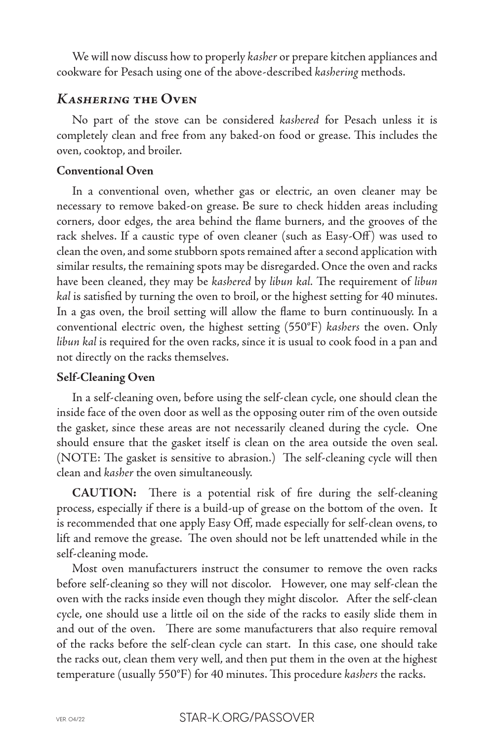We will now discuss how to properly *kasher* or prepare kitchen appliances and cookware for Pesach using one of the above-described *kashering* methods.

# *Kashering* **the Oven**

No part of the stove can be considered *kashered* for Pesach unless it is completely clean and free from any baked-on food or grease. This includes the oven, cooktop, and broiler.

### **Conventional Oven**

In a conventional oven, whether gas or electric, an oven cleaner may be necessary to remove baked-on grease. Be sure to check hidden areas including corners, door edges, the area behind the flame burners, and the grooves of the rack shelves. If a caustic type of oven cleaner (such as Easy-Off) was used to clean the oven, and some stubborn spots remained after a second application with similar results, the remaining spots may be disregarded. Once the oven and racks have been cleaned, they may be *kashered* by *libun kal.* The requirement of *libun kal* is satisfied by turning the oven to broil, or the highest setting for 40 minutes. In a gas oven, the broil setting will allow the flame to burn continuously. In a conventional electric oven, the highest setting (550°F) *kashers* the oven. Only *libun kal* is required for the oven racks, since it is usual to cook food in a pan and not directly on the racks themselves.

### **Self-Cleaning Oven**

In a self-cleaning oven, before using the self-clean cycle, one should clean the inside face of the oven door as well as the opposing outer rim of the oven outside the gasket, since these areas are not necessarily cleaned during the cycle. One should ensure that the gasket itself is clean on the area outside the oven seal. (NOTE: The gasket is sensitive to abrasion.) The self-cleaning cycle will then clean and *kasher* the oven simultaneously.

**CAUTION:** There is a potential risk of fire during the self-cleaning process, especially if there is a build-up of grease on the bottom of the oven. It is recommended that one apply Easy Off, made especially for self-clean ovens, to lift and remove the grease. The oven should not be left unattended while in the self-cleaning mode.

Most oven manufacturers instruct the consumer to remove the oven racks before self-cleaning so they will not discolor. However, one may self-clean the oven with the racks inside even though they might discolor. After the self-clean cycle, one should use a little oil on the side of the racks to easily slide them in and out of the oven. There are some manufacturers that also require removal of the racks before the self-clean cycle can start. In this case, one should take the racks out, clean them very well, and then put them in the oven at the highest temperature (usually 550°F) for 40 minutes. This procedure *kashers* the racks.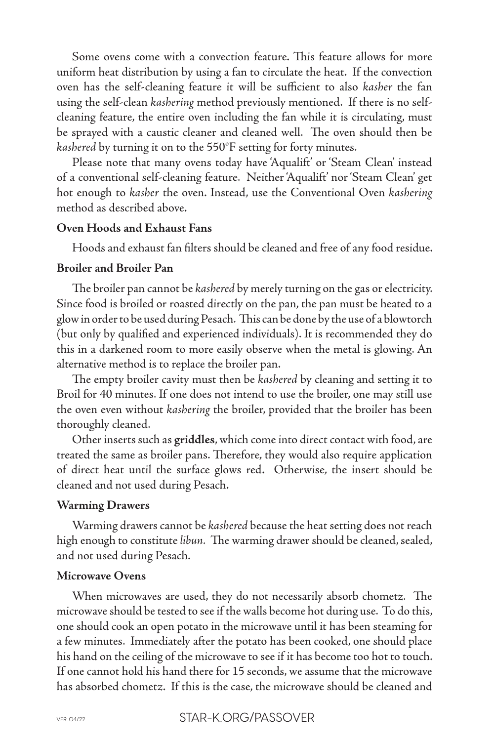Some ovens come with a convection feature. This feature allows for more uniform heat distribution by using a fan to circulate the heat. If the convection oven has the self-cleaning feature it will be sufficient to also *kasher* the fan using the self-clean *kashering* method previously mentioned. If there is no selfcleaning feature, the entire oven including the fan while it is circulating, must be sprayed with a caustic cleaner and cleaned well. The oven should then be *kashered* by turning it on to the 550°F setting for forty minutes.

Please note that many ovens today have 'Aqualift' or 'Steam Clean' instead of a conventional self-cleaning feature. Neither 'Aqualift' nor 'Steam Clean' get hot enough to *kasher* the oven. Instead, use the Conventional Oven *kashering* method as described above.

#### **Oven Hoods and Exhaust Fans**

Hoods and exhaust fan filters should be cleaned and free of any food residue.

### **Broiler and Broiler Pan**

The broiler pan cannot be *kashered* by merely turning on the gas or electricity. Since food is broiled or roasted directly on the pan, the pan must be heated to a glow in order to be used during Pesach. This can be done by the use of a blowtorch (but only by qualified and experienced individuals). It is recommended they do this in a darkened room to more easily observe when the metal is glowing. An alternative method is to replace the broiler pan.

The empty broiler cavity must then be *kashered* by cleaning and setting it to Broil for 40 minutes. If one does not intend to use the broiler, one may still use the oven even without *kashering* the broiler, provided that the broiler has been thoroughly cleaned.

Other inserts such as **griddles**, which come into direct contact with food, are treated the same as broiler pans. Therefore, they would also require application of direct heat until the surface glows red. Otherwise, the insert should be cleaned and not used during Pesach.

#### **Warming Drawers**

Warming drawers cannot be *kashered* because the heat setting does not reach high enough to constitute *libun.* The warming drawer should be cleaned, sealed, and not used during Pesach*.*

#### **Microwave Ovens**

When microwaves are used, they do not necessarily absorb chometz*.* The microwave should be tested to see if the walls become hot during use. To do this, one should cook an open potato in the microwave until it has been steaming for a few minutes. Immediately after the potato has been cooked, one should place his hand on the ceiling of the microwave to see if it has become too hot to touch. If one cannot hold his hand there for 15 seconds, we assume that the microwave has absorbed chometz. If this is the case, the microwave should be cleaned and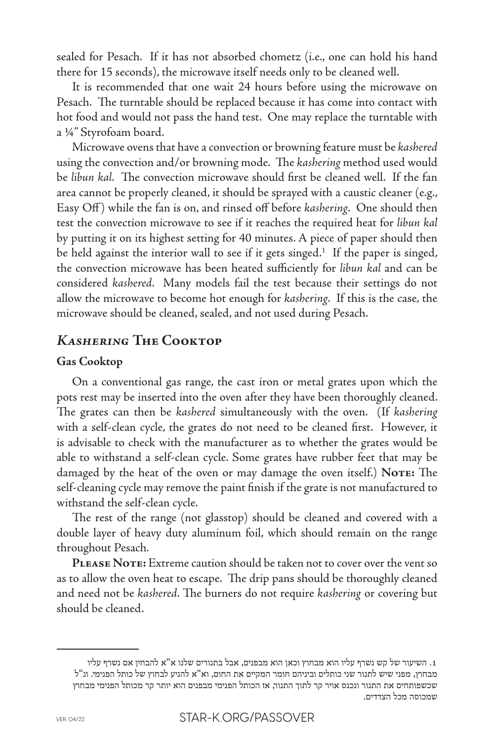sealed for Pesach. If it has not absorbed chometz (i.e., one can hold his hand there for 15 seconds), the microwave itself needs only to be cleaned well.

It is recommended that one wait 24 hours before using the microwave on Pesach. The turntable should be replaced because it has come into contact with hot food and would not pass the hand test. One may replace the turntable with a ¼" Styrofoam board.

Microwave ovens that have a convection or browning feature must be *kashered*  using the convection and/or browning mode. The *kashering* method used would be *libun kal*. The convection microwave should first be cleaned well. If the fan area cannot be properly cleaned, it should be sprayed with a caustic cleaner (e.g., Easy Off ) while the fan is on, and rinsed off before *kashering*. One should then test the convection microwave to see if it reaches the required heat for *libun kal* by putting it on its highest setting for 40 minutes. A piece of paper should then be held against the interior wall to see if it gets singed.<sup>1</sup> If the paper is singed, the convection microwave has been heated sufficiently for *libun kal* and can be considered *kashered*. Many models fail the test because their settings do not allow the microwave to become hot enough for *kashering*. If this is the case, the microwave should be cleaned, sealed, and not used during Pesach.

# *Kashering* **The Cooktop**

### **Gas Cooktop**

On a conventional gas range, the cast iron or metal grates upon which the pots rest may be inserted into the oven after they have been thoroughly cleaned. The grates can then be *kashered* simultaneously with the oven. (If *kashering* with a self-clean cycle, the grates do not need to be cleaned first. However, it is advisable to check with the manufacturer as to whether the grates would be able to withstand a self-clean cycle. Some grates have rubber feet that may be damaged by the heat of the oven or may damage the oven itself.) **Note:** The self-cleaning cycle may remove the paint finish if the grate is not manufactured to withstand the self-clean cycle.

The rest of the range (not glasstop) should be cleaned and covered with a double layer of heavy duty aluminum foil, which should remain on the range throughout Pesach*.*

PLEASE NOTE: Extreme caution should be taken not to cover over the vent so as to allow the oven heat to escape. The drip pans should be thoroughly cleaned and need not be *kashered*. The burners do not require *kashering* or covering but should be cleaned.

<sup>.1</sup> השיעור של קש נשרף עליו הוא מבחוץ וכאן הוא מבפנים, אבל בתנורים שלנו א"א להבחין אם נשרף עליו מבחוץ, מפני שיש לתנור שני כותלים וביניהם חומר המקיים את החום, וא"א להגיע לבחוץ של כותל הפנימי. ונ"ל שכשפותחים את התנור ונכנס אויר קר לתוך התנור, אז הכותל הפנימי מבפנים הוא יותר קר מכותל הפנימי מבחוץ שמכוסה מכל הצדדים.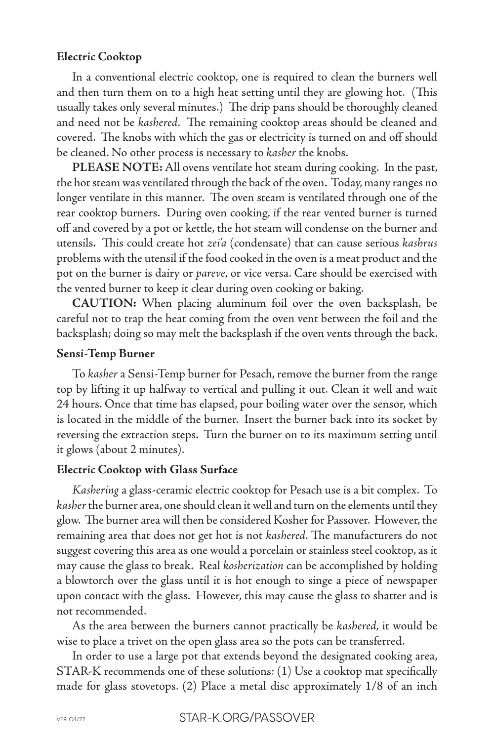#### **Electric Cooktop**

In a conventional electric cooktop, one is required to clean the burners well and then turn them on to a high heat setting until they are glowing hot. (This usually takes only several minutes.) The drip pans should be thoroughly cleaned and need not be *kashered*. The remaining cooktop areas should be cleaned and covered. The knobs with which the gas or electricity is turned on and off should be cleaned. No other process is necessary to *kasher* the knobs.

**PLEASE NOTE:** All ovens ventilate hot steam during cooking. In the past, the hot steam was ventilated through the back of the oven. Today, many ranges no longer ventilate in this manner. The oven steam is ventilated through one of the rear cooktop burners. During oven cooking, if the rear vented burner is turned off and covered by a pot or kettle, the hot steam will condense on the burner and utensils. This could create hot *zei'a* (condensate) that can cause serious *kashrus*  problems with the utensil if the food cooked in the oven is a meat product and the pot on the burner is dairy or *pareve*, or vice versa. Care should be exercised with the vented burner to keep it clear during oven cooking or baking.

**CAUTION:** When placing aluminum foil over the oven backsplash, be careful not to trap the heat coming from the oven vent between the foil and the backsplash; doing so may melt the backsplash if the oven vents through the back.

#### **Sensi-Temp Burner**

To *kasher* a Sensi-Temp burner for Pesach, remove the burner from the range top by lifting it up halfway to vertical and pulling it out. Clean it well and wait 24 hours. Once that time has elapsed, pour boiling water over the sensor, which is located in the middle of the burner. Insert the burner back into its socket by reversing the extraction steps. Turn the burner on to its maximum setting until it glows (about 2 minutes).

#### **Electric Cooktop with Glass Surface**

*Kashering* a glass-ceramic electric cooktop for Pesach use is a bit complex. To *kasher* the burner area, one should clean it well and turn on the elements until they glow. The burner area will then be considered Kosher for Passover. However, the remaining area that does not get hot is not *kashered*. The manufacturers do not suggest covering this area as one would a porcelain or stainless steel cooktop, as it may cause the glass to break. Real *kosherization* can be accomplished by holding a blowtorch over the glass until it is hot enough to singe a piece of newspaper upon contact with the glass. However, this may cause the glass to shatter and is not recommended.

As the area between the burners cannot practically be *kashered*, it would be wise to place a trivet on the open glass area so the pots can be transferred.

In order to use a large pot that extends beyond the designated cooking area, STAR-K recommends one of these solutions: (1) Use a cooktop mat specifically made for glass stovetops. (2) Place a metal disc approximately 1/8 of an inch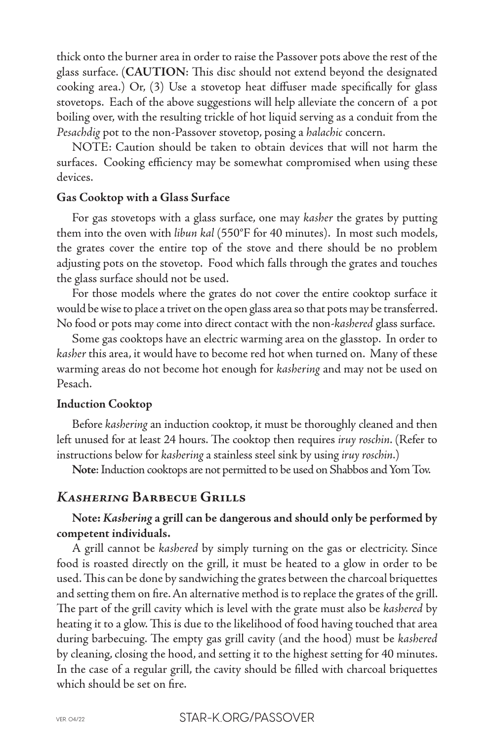thick onto the burner area in order to raise the Passover pots above the rest of the glass surface. (**CAUTION**: This disc should not extend beyond the designated cooking area.) Or, (3) Use a stovetop heat diffuser made specifically for glass stovetops. Each of the above suggestions will help alleviate the concern of a pot boiling over, with the resulting trickle of hot liquid serving as a conduit from the *Pesachdig* pot to the non-Passover stovetop, posing a *halachic* concern.

NOTE: Caution should be taken to obtain devices that will not harm the surfaces. Cooking efficiency may be somewhat compromised when using these devices.

#### **Gas Cooktop with a Glass Surface**

For gas stovetops with a glass surface, one may *kasher* the grates by putting them into the oven with *libun kal* (550°F for 40 minutes). In most such models, the grates cover the entire top of the stove and there should be no problem adjusting pots on the stovetop. Food which falls through the grates and touches the glass surface should not be used.

For those models where the grates do not cover the entire cooktop surface it would be wise to place a trivet on the open glass area so that pots may be transferred. No food or pots may come into direct contact with the non-*kashered* glass surface.

Some gas cooktops have an electric warming area on the glasstop. In order to *kasher* this area, it would have to become red hot when turned on. Many of these warming areas do not become hot enough for *kashering* and may not be used on Pesach.

#### **Induction Cooktop**

Before *kashering* an induction cooktop, it must be thoroughly cleaned and then left unused for at least 24 hours. The cooktop then requires *iruy roschin*. (Refer to instructions below for *kashering* a stainless steel sink by using *iruy roschin*.)

**Note**: Induction cooktops are not permitted to be used on Shabbos and Yom Tov.

### *Kashering* **Barbecue Grills**

## **Note:** *Kashering* **a grill can be dangerous and should only be performed by competent individuals.**

A grill cannot be *kashered* by simply turning on the gas or electricity. Since food is roasted directly on the grill, it must be heated to a glow in order to be used. This can be done by sandwiching the grates between the charcoal briquettes and setting them on fire. An alternative method is to replace the grates of the grill. The part of the grill cavity which is level with the grate must also be *kashered* by heating it to a glow. This is due to the likelihood of food having touched that area during barbecuing. The empty gas grill cavity (and the hood) must be *kashered*  by cleaning, closing the hood, and setting it to the highest setting for 40 minutes. In the case of a regular grill, the cavity should be filled with charcoal briquettes which should be set on fire.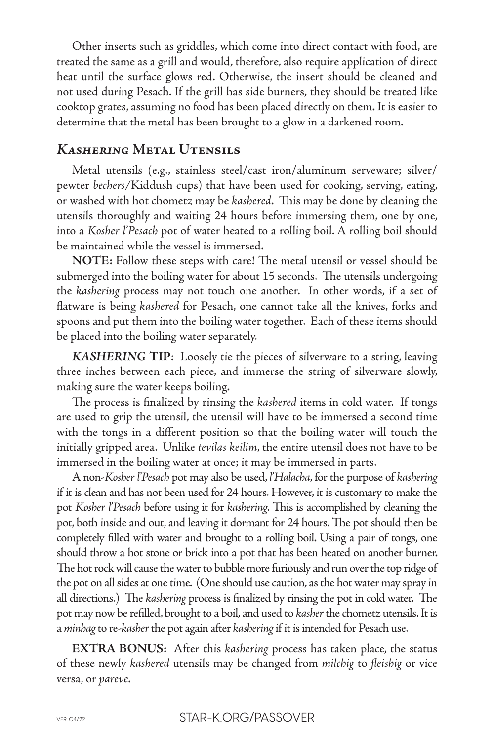Other inserts such as griddles, which come into direct contact with food, are treated the same as a grill and would, therefore, also require application of direct heat until the surface glows red. Otherwise, the insert should be cleaned and not used during Pesach. If the grill has side burners, they should be treated like cooktop grates, assuming no food has been placed directly on them. It is easier to determine that the metal has been brought to a glow in a darkened room.

# *Kashering* **Metal Utensils**

Metal utensils (e.g., stainless steel/cast iron/aluminum serveware; silver/ pewter *bechers/*Kiddush cups) that have been used for cooking, serving, eating, or washed with hot chometz may be *kashered*. This may be done by cleaning the utensils thoroughly and waiting 24 hours before immersing them, one by one, into a *Kosher l'Pesach* pot of water heated to a rolling boil. A rolling boil should be maintained while the vessel is immersed.

**NOTE:** Follow these steps with care! The metal utensil or vessel should be submerged into the boiling water for about 15 seconds. The utensils undergoing the *kashering* process may not touch one another. In other words, if a set of flatware is being *kashered* for Pesach, one cannot take all the knives, forks and spoons and put them into the boiling water together. Each of these items should be placed into the boiling water separately.

*KASHERING* **TIP**: Loosely tie the pieces of silverware to a string, leaving three inches between each piece, and immerse the string of silverware slowly, making sure the water keeps boiling.

The process is finalized by rinsing the *kashered* items in cold water. If tongs are used to grip the utensil, the utensil will have to be immersed a second time with the tongs in a different position so that the boiling water will touch the initially gripped area. Unlike *tevilas keilim*, the entire utensil does not have to be immersed in the boiling water at once; it may be immersed in parts.

A non-*Kosher l'Pesach* pot may also be used, *l'Halacha*, for the purpose of *kashering* if it is clean and has not been used for 24 hours. However, it is customary to make the pot *Kosher l'Pesach* before using it for *kashering*. This is accomplished by cleaning the pot, both inside and out, and leaving it dormant for 24 hours. The pot should then be completely filled with water and brought to a rolling boil. Using a pair of tongs, one should throw a hot stone or brick into a pot that has been heated on another burner. The hot rock will cause the water to bubble more furiously and run over the top ridge of the pot on all sides at one time. (One should use caution, as the hot water may spray in all directions.) The *kashering* process is finalized by rinsing the pot in cold water. The pot may now be refilled, brought to a boil, and used to *kasher* the chometz utensils. It is a *minhag* to re-*kasher* the pot again after *kashering* if it is intended for Pesach use.

**EXTRA BONUS:** After this *kashering* process has taken place, the status of these newly *kashered* utensils may be changed from *milchig* to *fleishig* or vice versa, or *pareve*.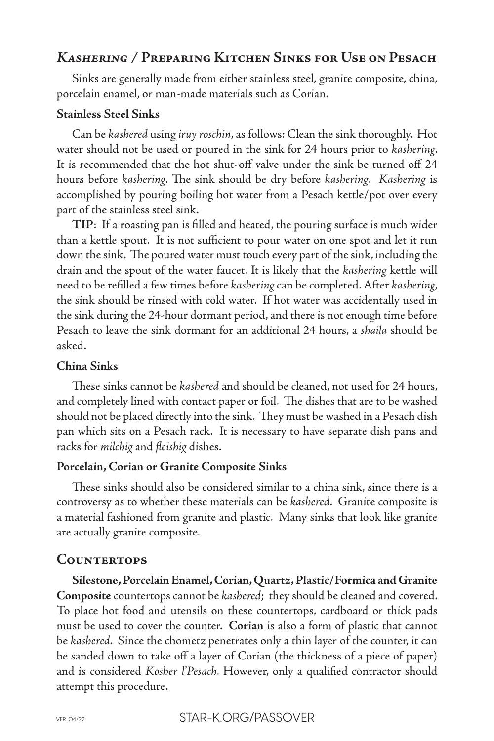# *Kashering /* **Preparing Kitchen Sinks for Use on Pesach**

Sinks are generally made from either stainless steel, granite composite, china, porcelain enamel, or man-made materials such as Corian.

### **Stainless Steel Sinks**

Can be *kashered* using *iruy roschin*, as follows: Clean the sink thoroughly. Hot water should not be used or poured in the sink for 24 hours prior to *kashering*. It is recommended that the hot shut-off valve under the sink be turned off 24 hours before *kashering*. The sink should be dry before *kashering*. *Kashering* is accomplished by pouring boiling hot water from a Pesach kettle/pot over every part of the stainless steel sink.

**TIP**: If a roasting pan is filled and heated, the pouring surface is much wider than a kettle spout. It is not sufficient to pour water on one spot and let it run down the sink. The poured water must touch every part of the sink, including the drain and the spout of the water faucet. It is likely that the *kashering* kettle will need to be refilled a few times before *kashering* can be completed. After *kashering*, the sink should be rinsed with cold water. If hot water was accidentally used in the sink during the 24-hour dormant period, and there is not enough time before Pesach to leave the sink dormant for an additional 24 hours, a *shaila* should be asked.

# **China Sinks**

These sinks cannot be *kashered* and should be cleaned, not used for 24 hours, and completely lined with contact paper or foil. The dishes that are to be washed should not be placed directly into the sink. They must be washed in a Pesach dish pan which sits on a Pesach rack. It is necessary to have separate dish pans and racks for *milchig* and *fleishig* dishes.

## **Porcelain, Corian or Granite Composite Sinks**

These sinks should also be considered similar to a china sink, since there is a controversy as to whether these materials can be *kashered*. Granite composite is a material fashioned from granite and plastic. Many sinks that look like granite are actually granite composite.

# **Countertops**

**Silestone, Porcelain Enamel, Corian, Quartz, Plastic/Formica and Granite**  Composite countertops cannot be *kashered*; they should be cleaned and covered. To place hot food and utensils on these countertops, cardboard or thick pads must be used to cover the counter. **Corian** is also a form of plastic that cannot be *kashered*. Since the chometz penetrates only a thin layer of the counter, it can be sanded down to take off a layer of Corian (the thickness of a piece of paper) and is considered *Kosher l'Pesach*. However, only a qualified contractor should attempt this procedure.